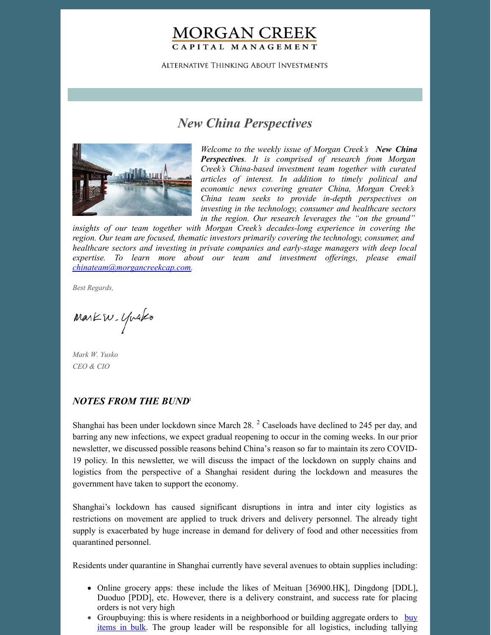## **MORGAN CREEK** CAPITAL MANAGEMENT

ALTERNATIVE THINKING ABOUT INVESTMENTS

# *New China Perspectives*



*Welcome to the weekly issue of Morgan Creek's New China Perspectives. It is comprised of research from Morgan Creek's China-based investment team together with curated articles of interest. In addition to timely political and economic news covering greater China, Morgan Creek's China team seeks to provide in-depth perspectives on investing in the technology, consumer and healthcare sectors in the region. Our research leverages the "on the ground"*

*insights of our team together with Morgan Creek's decades-long experience in covering the region. Our team are focused, thematic investors primarily covering the technology, consumer, and healthcare sectors and investing in private companies and early-stage managers with deep local expertise. To learn more about our team and investment of erings, please email [chinateam@morgancreekcap.com](mailto:chinateam@morgancreekcap.com).*

*Best Regards,*

Markw. Yusko

*Mark W. Yusko CEO & CIO*

#### *NOTES FROM THE BUND* 1

Shanghai has been under lockdown since March 28.<sup>2</sup> Caseloads have declined to 245 per day, and barring any new infections, we expect gradual reopening to occur in the coming weeks. In our prior newsletter, we discussed possible reasons behind China's reason so far to maintain its zero COVID-19 policy. In this newsletter, we will discuss the impact of the lockdown on supply chains and logistics from the perspective of a Shanghai resident during the lockdown and measures the government have taken to support the economy.

Shanghai's lockdown has caused significant disruptions in intra and inter city logistics as restrictions on movement are applied to truck drivers and delivery personnel. The already tight supply is exacerbated by huge increase in demand for delivery of food and other necessities from quarantined personnel.

Residents under quarantine in Shanghai currently have several avenues to obtain supplies including:

- Online grocery apps: these include the likes of Meituan [36900.HK], Dingdong [DDL], Duoduo [PDD], etc. However, there is a delivery constraint, and success rate for placing orders is not very high
- [Groupbuying:](https://restofworld.org/2022/shanghai-lockdown-wechat-group-buying/) this is where residents in a neighborhood or building aggregate orders to buy items in bulk. The group leader will be responsible for all logistics, including tallying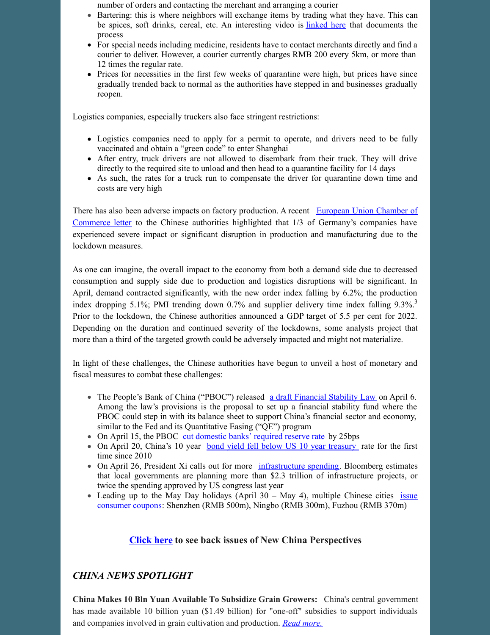number of orders and contacting the merchant and arranging a courier

- Bartering: this is where neighbors will exchange items by trading what they have. This can be spices, soft drinks, cereal, etc. An interesting video is [linked](https://www.youtube.com/watch?v=jWSJRkV6P1Y) here that documents the process
- For special needs including medicine, residents have to contact merchants directly and find a courier to deliver. However, a courier currently charges RMB 200 every 5km, or more than 12 times the regular rate.
- Prices for necessities in the first few weeks of quarantine were high, but prices have since gradually trended back to normal as the authorities have stepped in and businesses gradually reopen.

Logistics companies, especially truckers also face stringent restrictions:

- Logistics companies need to apply for a permit to operate, and drivers need to be fully vaccinated and obtain a "green code" to enter Shanghai
- After entry, truck drivers are not allowed to disembark from their truck. They will drive directly to the required site to unload and then head to a quarantine facility for 14 days
- As such, the rates for a truck run to compensate the driver for quarantine down time and costs are very high

There has also been adverse impacts on factory [production.](https://www.reuters.com/world/china/chinas-widening-covid-curbs-exact-mounting-economic-toll-2022-04-06/) A recent European Union Chamber of Commerce letter to the Chinese authorities highlighted that 1/3 of Germany's companies have experienced severe impact or significant disruption in production and manufacturing due to the lockdown measures.

As one can imagine, the overall impact to the economy from both a demand side due to decreased consumption and supply side due to production and logistics disruptions will be significant. In April, demand contracted significantly, with the new order index falling by 6.2%; the production index dropping 5.1%; PMI trending down 0.7% and supplier delivery time index falling 9.3%.<sup>3</sup> Prior to the lockdown, the Chinese authorities announced a GDP target of 5.5 per cent for 2022. Depending on the duration and continued severity of the lockdowns, some analysts project that more than a third of the targeted growth could be adversely impacted and might not materialize.

In light of these challenges, the Chinese authorities have begun to unveil a host of monetary and fiscal measures to combat these challenges:

- The People's Bank of China ("PBOC") released a draft [Financial](https://www.atlanticcouncil.org/blogs/econographics/china-to-roll-out-its-version-of-quantitative-easing/) Stability Law on April 6. Among the law's provisions is the proposal to set up a financial stability fund where the PBOC could step in with its balance sheet to support China's financial sector and economy, similar to the Fed and its Quantitative Easing ("QE") program
- On April 15, the PBOC cut [domestic](https://www.reuters.com/world/china/china-cuts-reserve-requirements-banks-economy-slows-2022-04-15/) banks' required reserve rate by 25bps
- On April 20, China's 10 year bond yield fell below US 10 year [treasury](https://www.cnbc.com/2022/04/21/us-10-year-treasury-yield-climbs-heres-what-it-means-for-china.html) rate for the first time since 2010
- On April 26, President Xi calls out for more [infrastructure](https://www.bloomberg.com/news/articles/2022-04-26/xi-emphasizes-infrastructure-as-lockdowns-pummel-china-s-economy) spending. Bloomberg estimates that local governments are planning more than \$2.3 trillion of infrastructure projects, or twice the spending approved by US congress last year
- Leading up to the May Day holidays (April  $30 May 4$ ), multiple Chinese cities issue [consumer](https://www.globaltimes.cn/page/202204/1260613.shtml) coupons: Shenzhen (RMB 500m), Ningbo (RMB 300m), Fuzhou (RMB 370m)

## **[Click](https://www.morgancreekcap.com/market-commentary/#investment-process) here to see back issues of New China Perspectives**

## *CHINA NEWS SPOTLIGHT*

**China Makes 10 Bln Yuan Available To Subsidize Grain Growers:** China's central government has made available 10 billion yuan (\$1.49 billion) for "one-off" subsidies to support individuals and companies involved in grain cultivation and production. *Read [more.](https://www.agriculture.com/markets/newswire/china-makes-10-bln-yuan-available-to-subsidise-grain-growers)*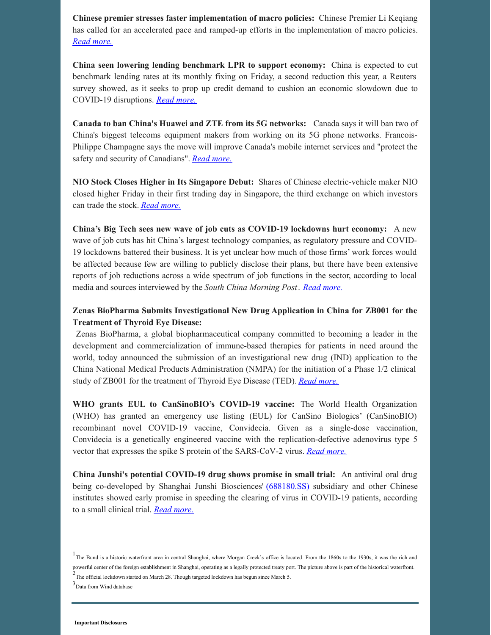**Chinese premier stresses faster implementation of macro policies:** Chinese Premier Li Keqiang has called for an accelerated pace and ramped-up efforts in the implementation of macro policies. *Read [more.](https://english.news.cn/20220518/085ff63cd6d443bcb3657b2e1c98b32d/c.html)*

**China seen lowering lending benchmark LPR to support economy:** China is expected to cut benchmark lending rates at its monthly fixing on Friday, a second reduction this year, a Reuters survey showed, as it seeks to prop up credit demand to cushion an economic slowdown due to COVID-19 disruptions. *Read [more.](https://www.reuters.com/markets/rates-bonds/china-seen-lowering-lending-benchmark-lpr-support-economy-2022-05-19/)*

**Canada to ban China's Huawei and ZTE from its 5G networks:** Canada says it will ban two of China's biggest telecoms equipment makers from working on its 5G phone networks. Francois-Philippe Champagne says the move will improve Canada's mobile internet services and "protect the safety and security of Canadians". *Read [more.](https://www.bbc.com/news/business-61517729)*

**NIO Stock Closes Higher in Its Singapore Debut:** Shares of Chinese electric-vehicle maker NIO closed higher Friday in their first trading day in Singapore, the third exchange on which investors can trade the stock. *Read [more.](https://www.barrons.com/articles/nio-stock-price-singapore-51653033056)*

**China's Big Tech sees new wave of job cuts as COVID-19 lockdowns hurt economy:** A new wave of job cuts has hit China's largest technology companies, as regulatory pressure and COVID-19 lockdowns battered their business. It is yet unclear how much of those firms' work forces would be affected because few are willing to publicly disclose their plans, but there have been extensive reports of job reductions across a wide spectrum of job functions in the sector, according to local media and sources interviewed by the *South China Morning Post*. *Read [more.](https://www.scmp.com/tech/big-tech/article/3178643/chinas-big-tech-sees-new-wave-job-cuts-covid-lockdowns-hurt-economy)*

#### **Zenas BioPharma Submits Investigational New Drug Application in China for ZB001 for the Treatment of Thyroid Eye Disease:**

Zenas BioPharma, a global biopharmaceutical company committed to becoming a leader in the development and commercialization of immune-based therapies for patients in need around the world, today announced the submission of an investigational new drug (IND) application to the China National Medical Products Administration (NMPA) for the initiation of a Phase 1/2 clinical study of ZB001 for the treatment of Thyroid Eye Disease (TED). *Read [more.](https://www.globenewswire.com/news-release/2022/05/15/2443390/0/en/Zenas-BioPharma-Submits-Investigational-New-Drug-Application-in-China-for-ZB001-for-the-Treatment-of-Thyroid-Eye-Disease.html)*

**WHO grants EUL to CanSinoBIO's COVID-19 vaccine:** The World Health Organization (WHO) has granted an emergency use listing (EUL) for CanSino Biologics' (CanSinoBIO) recombinant novel COVID-19 vaccine, Convidecia. Given as a single-dose vaccination, Convidecia is a genetically engineered vaccine with the replication-defective adenovirus type 5 vector that expresses the spike S protein of the SARS-CoV-2 virus. *Read [more.](https://www.pharmaceutical-technology.com/news/who-eul-cansinobio-vaccine/)*

**China Junshi's potential COVID-19 drug shows promise in small trial:** An antiviral oral drug being co-developed by Shanghai Junshi Biosciences' [\(688180.SS\)](https://www.reuters.com/companies/688180.SS) subsidiary and other Chinese institutes showed early promise in speeding the clearing of virus in COVID-19 patients, according to a small clinical trial. *Read [more.](https://www.reuters.com/business/healthcare-pharmaceuticals/china-junshis-potential-covid-drug-shows-promise-small-trial-2022-05-18/)*

<sup>3</sup>Data from Wind database

<sup>&</sup>lt;sup>1</sup>The Bund is a historic waterfront area in central Shanghai, where Morgan Creek's office is located. From the 1860s to the 1930s, it was the rich and powerful center of the foreign establishment in Shanghai, operating as a legally protected treaty port. The picture above is part of the historical waterfront.  $2$ The official lockdown started on March 28. Though targeted lockdown has begun since March 5.